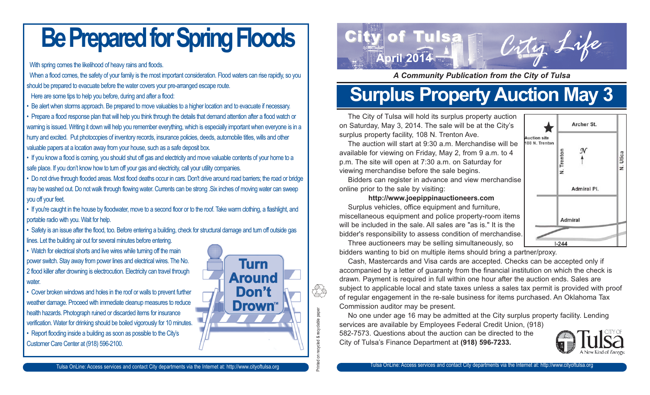## **Be Prepared for Spring Floods**

With spring comes the likelihood of heavy rains and floods.

When a flood comes, the safety of your family is the most important consideration. Flood waters can rise rapidly, so you should be prepared to evacuate before the water covers your pre-arranged escape route.

- Here are some tips to help you before, during and after a flood:
- Be alert when storms approach. Be prepared to move valuables to a higher location and to evacuate if necessary.
- Prepare a flood response plan that will help you think through the details that demand attention after a flood watch or warning is issued. Writing it down will help you remember everything, which is especially important when everyone is in a hurry and excited. Put photocopies of inventory records, insurance policies, deeds, automobile titles, wills and other valuable papers at a location away from your house, such as a safe deposit box.
- If you know a flood is coming, you should shut off gas and electricity and move valuable contents of your home to a safe place. If you don't know how to turn off your gas and electricity, call your utility companies.
- Do not drive through flooded areas. Most flood deaths occur in cars. Don't drive around road barriers; the road or bridge may be washed out. Do not walk through flowing water. Currents can be strong .Six inches of moving water can sweep you off your feet.
- If you're caught in the house by floodwater, move to a second floor or to the roof. Take warm clothing, a flashlight, and portable radio with you. Wait for help.
- Safety is an issue after the flood, too. Before entering a building, check for structural damage and turn off outside gas lines. Let the building air out for several minutes before entering.
- Watch for electrical shorts and live wires while turning off the main power switch. Stay away from power lines and electrical wires. The No. 2 flood killer after drowning is electrocution. Electricity can travel through water

• Cover broken windows and holes in the roof or walls to prevent further weather damage. Proceed with immediate cleanup measures to reduce health hazards. Photograph ruined or discarded items for insurance verification. Water for drinking should be boiled vigorously for 10 minutes. • Report flooding inside a building as soon as possible to the City's Customer Care Center at (918) 596-2100.





*A Community Publication from the City of Tulsa*

### **Surplus Property Auction May 3**

The City of Tulsa will hold its surplus property auction on Saturday, May 3, 2014. The sale will be at the City's surplus property facility, 108 N. Trenton Ave.

The auction will start at 9:30 a.m. Merchandise will be available for viewing on Friday, May 2, from 9 a.m. to 4 p.m. The site will open at 7:30 a.m. on Saturday for viewing merchandise before the sale begins.

Bidders can register in advance and view merchandise online prior to the sale by visiting:

**http://www.joepippinauctioneers.com**

Surplus vehicles, office equipment and furniture, miscellaneous equipment and police property-room items will be included in the sale. All sales are "as is." It is the bidder's responsibility to assess condition of merchandise. Three auctioneers may be selling simultaneously, so

 $1 - 244$ bidders wanting to bid on multiple items should bring a partner/proxy.

Cash, Mastercards and Visa cards are accepted. Checks can be accepted only if accompanied by a letter of guaranty from the financial institution on which the check is drawn. Payment is required in full within one hour after the auction ends. Sales are subject to applicable local and state taxes unless a sales tax permit is provided with proof of regular engagement in the re-sale business for items purchased. An Oklahoma Tax Commission auditor may be present.

No one under age 16 may be admitted at the City surplus property facility. Lending services are available by Employees Federal Credit Union, (918)

582-7573. Questions about the auction can be directed to the City of Tulsa's Finance Department at **(918) 596-7233.**



Archer St.

 $\mathcal{N}$ 

Admiral PI.

Admiral

Utica ż

N. Trenton

**Auction site** 108 N. Trenton